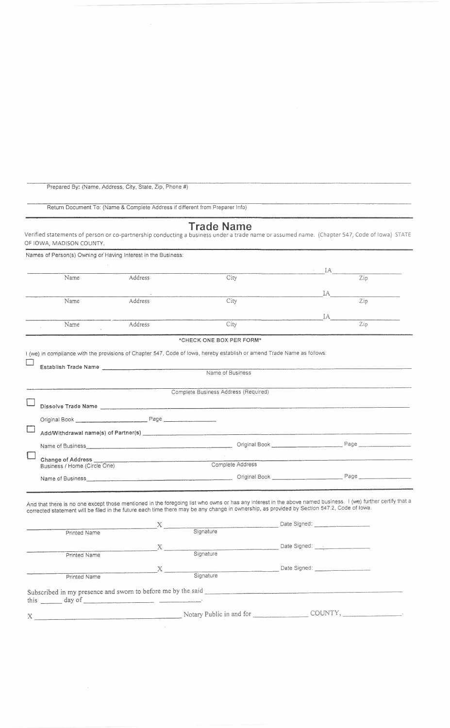|  | Prepared By: (Name, Address, City, State, Zip, Phone #) |  |  |  |  |  |  |  |  |
|--|---------------------------------------------------------|--|--|--|--|--|--|--|--|
|--|---------------------------------------------------------|--|--|--|--|--|--|--|--|

Return Document To: (Name & Complete Address if different from Preparer Info)

## **Trade Name**

Verified statements of person or co-partnership conducting a business under a trade name or assumed name. (Chapter 547, Code of Iowa) STATE OF IOWA, MADISON COUNTY.

| Names of Person(s) Owning or Having Interest in the Business:                                                                                                                                                                  |                |                                                                                                                                                               |                                                             |
|--------------------------------------------------------------------------------------------------------------------------------------------------------------------------------------------------------------------------------|----------------|---------------------------------------------------------------------------------------------------------------------------------------------------------------|-------------------------------------------------------------|
|                                                                                                                                                                                                                                |                |                                                                                                                                                               | $\mathbf{A}$                                                |
| Name                                                                                                                                                                                                                           | Address        | City                                                                                                                                                          | Zip                                                         |
|                                                                                                                                                                                                                                |                |                                                                                                                                                               | IA                                                          |
| Name                                                                                                                                                                                                                           | <b>Address</b> | City                                                                                                                                                          | Zip                                                         |
|                                                                                                                                                                                                                                |                |                                                                                                                                                               | IA DOMESTICS                                                |
| Name                                                                                                                                                                                                                           | Address        | City                                                                                                                                                          | Zip                                                         |
|                                                                                                                                                                                                                                |                | *CHECK ONE BOX PER FORM*                                                                                                                                      |                                                             |
|                                                                                                                                                                                                                                |                | I (we) in compliance with the provisions of Chapter 547, Code of lowa, hereby establish or amend Trade Name as follows:                                       |                                                             |
|                                                                                                                                                                                                                                |                |                                                                                                                                                               |                                                             |
| Establish Trade Name and the contract of the contract of the contract of the contract of the contract of the contract of the contract of the contract of the contract of the contract of the contract of the contract of the c |                | Name of Business                                                                                                                                              |                                                             |
|                                                                                                                                                                                                                                |                |                                                                                                                                                               | <u> 1989 - Andrej Stein, senator al Indonesia (h. 1989)</u> |
|                                                                                                                                                                                                                                |                | Complete Business Address (Required)                                                                                                                          |                                                             |
|                                                                                                                                                                                                                                |                | Dissolve Trade Name                                                                                                                                           |                                                             |
| Original Book Page                                                                                                                                                                                                             |                |                                                                                                                                                               |                                                             |
|                                                                                                                                                                                                                                |                |                                                                                                                                                               |                                                             |
|                                                                                                                                                                                                                                |                |                                                                                                                                                               |                                                             |
|                                                                                                                                                                                                                                |                | Name of Business Page Criginal Book Page Page Page 2014                                                                                                       |                                                             |
|                                                                                                                                                                                                                                |                |                                                                                                                                                               |                                                             |
| Business / Home (Circle One)                                                                                                                                                                                                   |                | Complete Address                                                                                                                                              |                                                             |
|                                                                                                                                                                                                                                |                |                                                                                                                                                               |                                                             |
|                                                                                                                                                                                                                                |                |                                                                                                                                                               |                                                             |
|                                                                                                                                                                                                                                |                | And that there is no one except those mentioned in the foregoing list who owns or has any interest in the above named business. I (we) further certify that a |                                                             |
|                                                                                                                                                                                                                                |                | corrected statement will be filed in the future each time there may be any change in ownership, as provided by Section 547.2, Code of Iowa.                   |                                                             |
|                                                                                                                                                                                                                                |                | X<br>Signature Date Signed:                                                                                                                                   |                                                             |
| Printed Name                                                                                                                                                                                                                   |                |                                                                                                                                                               |                                                             |
|                                                                                                                                                                                                                                |                |                                                                                                                                                               |                                                             |
| Printed Name                                                                                                                                                                                                                   |                | Signature                                                                                                                                                     |                                                             |
|                                                                                                                                                                                                                                |                |                                                                                                                                                               |                                                             |
| Printed Name                                                                                                                                                                                                                   |                |                                                                                                                                                               |                                                             |

Printed Name Signature Signature Subscribed in my presence and sworn to before me by the said this day of \_

**X .** Notary Public in and for COUNTY, \_